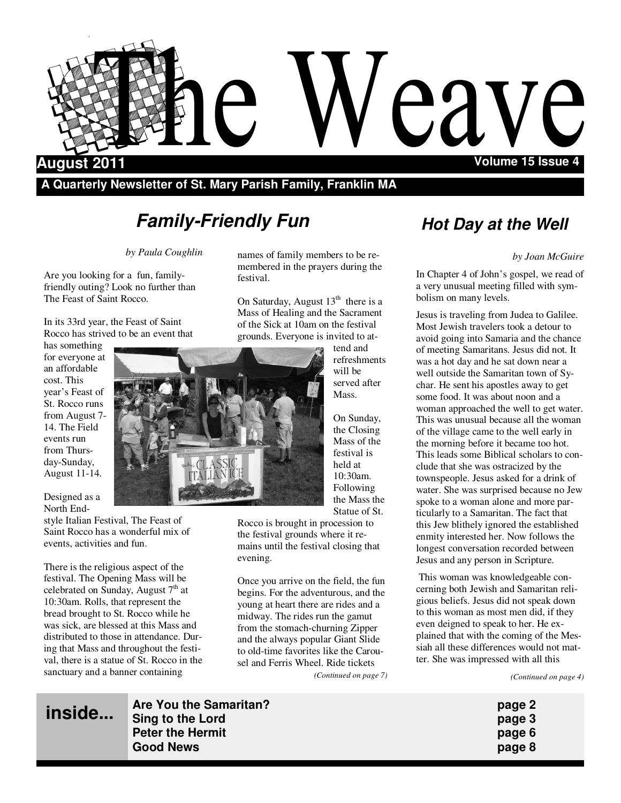

## **A Quarterly Newsletter of St. Mary Parish Family, Franklin MA**

# **Family-Friendly Fun**

*by Paula Coughlin* 

Are you looking for a fun, familyfriendly outing? Look no further than The Feast of Saint Rocco.

In its 33rd year, the Feast of Saint Rocco has strived to be an event that

has something for everyone at an affordable cost. This year's Feast of St. Rocco runs from August 7- 14. The Field events run from Thursday-Sunday, August 11-14.

Designed as a North End-

style Italian Festival, The Feast of Saint Rocco has a wonderful mix of events, activities and fun.

There is the religious aspect of the festival. The Opening Mass will be celebrated on Sunday, August  $7<sup>th</sup>$  at 10:30am. Rolls, that represent the bread brought to St. Rocco while he was sick, are blessed at this Mass and distributed to those in attendance. During that Mass and throughout the festival, there is a statue of St. Rocco in the sanctuary and a banner containing

names of family members to be remembered in the prayers during the festival.

On Saturday, August 13<sup>th</sup> there is a Mass of Healing and the Sacrament of the Sick at 10am on the festival grounds. Everyone is invited to at-

tend and refreshments will be served after Mass.

On Sunday, the Closing Mass of the festival is held at 10:30am. Following the Mass the Statue of St.

Rocco is brought in procession to the festival grounds where it remains until the festival closing that evening.

Once you arrive on the field, the fun begins. For the adventurous, and the young at heart there are rides and a midway. The rides run the gamut from the stomach-churning Zipper and the always popular Giant Slide to old-time favorites like the Carousel and Ferris Wheel. Ride tickets *(Continued on page 7)* 

## **Hot Day at the Well**

#### *by Joan McGuire*

In Chapter 4 of John's gospel, we read of a very unusual meeting filled with symbolism on many levels.

Jesus is traveling from Judea to Galilee. Most Jewish travelers took a detour to avoid going into Samaria and the chance of meeting Samaritans. Jesus did not. It was a hot day and he sat down near a well outside the Samaritan town of Sychar. He sent his apostles away to get some food. It was about noon and a woman approached the well to get water. This was unusual because all the woman of the village came to the well early in the morning before it became too hot. This leads some Biblical scholars to conclude that she was ostracized by the townspeople. Jesus asked for a drink of water. She was surprised because no Jew spoke to a woman alone and more particularly to a Samaritan. The fact that this Jew blithely ignored the established enmity interested her. Now follows the longest conversation recorded between Jesus and any person in Scripture.

 This woman was knowledgeable concerning both Jewish and Samaritan religious beliefs. Jesus did not speak down to this woman as most men did, if they even deigned to speak to her. He explained that with the coming of the Messiah all these differences would not matter. She was impressed with all this

*(Continued on page 4)* 

**inside...**

**Are You the Samaritan? page 2 Sing to the Lord page 3 Peter the Hermit page 6 Good News page 8**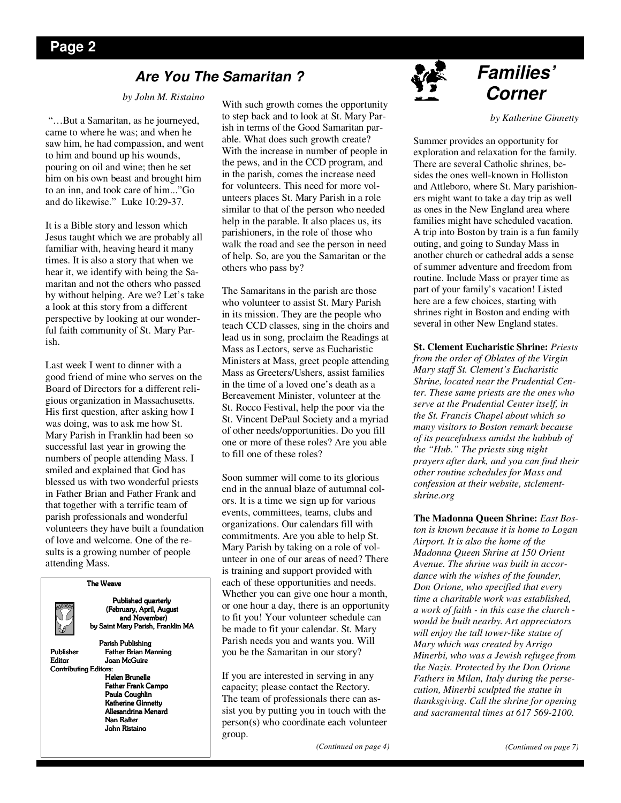## **Are You The Samaritan ?**

#### *by John M. Ristaino*

"…But a Samaritan, as he journeyed, came to where he was; and when he saw him, he had compassion, and went to him and bound up his wounds, pouring on oil and wine; then he set him on his own beast and brought him to an inn, and took care of him..."Go and do likewise." Luke 10:29-37.

It is a Bible story and lesson which Jesus taught which we are probably all familiar with, heaving heard it many times. It is also a story that when we hear it, we identify with being the Samaritan and not the others who passed by without helping. Are we? Let's take a look at this story from a different perspective by looking at our wonderful faith community of St. Mary Parish.

Last week I went to dinner with a good friend of mine who serves on the Board of Directors for a different religious organization in Massachusetts. His first question, after asking how I was doing, was to ask me how St. Mary Parish in Franklin had been so successful last year in growing the numbers of people attending Mass. I smiled and explained that God has blessed us with two wonderful priests in Father Brian and Father Frank and that together with a terrific team of parish professionals and wonderful volunteers they have built a foundation of love and welcome. One of the results is a growing number of people attending Mass.



Published quarterly (February, April, August (February, April, August and November) by Saint Mary Parish, Franklin MA

Parish Publishing

The Weave

Publisher Father Brian Manning Editor Joan McGuire Contributing Editors:

Helen Brunelle Father Frank Campo Paula Coughlin Katherine Ginnetty Allesandrina Menard Nan Rafter John Ristaino John Ristaino John Ristaino

With such growth comes the opportunity to step back and to look at St. Mary Parish in terms of the Good Samaritan parable. What does such growth create? With the increase in number of people in the pews, and in the CCD program, and in the parish, comes the increase need for volunteers. This need for more volunteers places St. Mary Parish in a role similar to that of the person who needed help in the parable. It also places us, its parishioners, in the role of those who walk the road and see the person in need of help. So, are you the Samaritan or the others who pass by?

The Samaritans in the parish are those who volunteer to assist St. Mary Parish in its mission. They are the people who teach CCD classes, sing in the choirs and lead us in song, proclaim the Readings at Mass as Lectors, serve as Eucharistic Ministers at Mass, greet people attending Mass as Greeters/Ushers, assist families in the time of a loved one's death as a Bereavement Minister, volunteer at the St. Rocco Festival, help the poor via the St. Vincent DePaul Society and a myriad of other needs/opportunities. Do you fill one or more of these roles? Are you able to fill one of these roles?

Soon summer will come to its glorious end in the annual blaze of autumnal colors. It is a time we sign up for various events, committees, teams, clubs and organizations. Our calendars fill with commitments. Are you able to help St. Mary Parish by taking on a role of volunteer in one of our areas of need? There is training and support provided with each of these opportunities and needs. Whether you can give one hour a month, or one hour a day, there is an opportunity to fit you! Your volunteer schedule can be made to fit your calendar. St. Mary Parish needs you and wants you. Will you be the Samaritan in our story?

If you are interested in serving in any capacity; please contact the Rectory. The team of professionals there can assist you by putting you in touch with the person(s) who coordinate each volunteer group.

*(Continued on page 4)* 



## **Families' Corner**

*by Katherine Ginnetty* 

Summer provides an opportunity for exploration and relaxation for the family. There are several Catholic shrines, besides the ones well-known in Holliston and Attleboro, where St. Mary parishioners might want to take a day trip as well as ones in the New England area where families might have scheduled vacation. A trip into Boston by train is a fun family outing, and going to Sunday Mass in another church or cathedral adds a sense of summer adventure and freedom from routine. Include Mass or prayer time as part of your family's vacation! Listed here are a few choices, starting with shrines right in Boston and ending with several in other New England states.

**St. Clement Eucharistic Shrine:** *Priests* 

*from the order of Oblates of the Virgin Mary staff St. Clement's Eucharistic Shrine, located near the Prudential Center. These same priests are the ones who serve at the Prudential Center itself, in the St. Francis Chapel about which so many visitors to Boston remark because of its peacefulness amidst the hubbub of the "Hub." The priests sing night prayers after dark, and you can find their other routine schedules for Mass and confession at their website, stclementshrine.org* 

**The Madonna Queen Shrine:** *East Boston is known because it is home to Logan Airport. It is also the home of the Madonna Queen Shrine at 150 Orient Avenue. The shrine was built in accordance with the wishes of the founder, Don Orione, who specified that every time a charitable work was established, a work of faith - in this case the church would be built nearby. Art appreciators will enjoy the tall tower-like statue of Mary which was created by Arrigo Minerbi, who was a Jewish refugee from the Nazis. Protected by the Don Orione Fathers in Milan, Italy during the persecution, Minerbi sculpted the statue in thanksgiving. Call the shrine for opening and sacramental times at 617 569-2100.*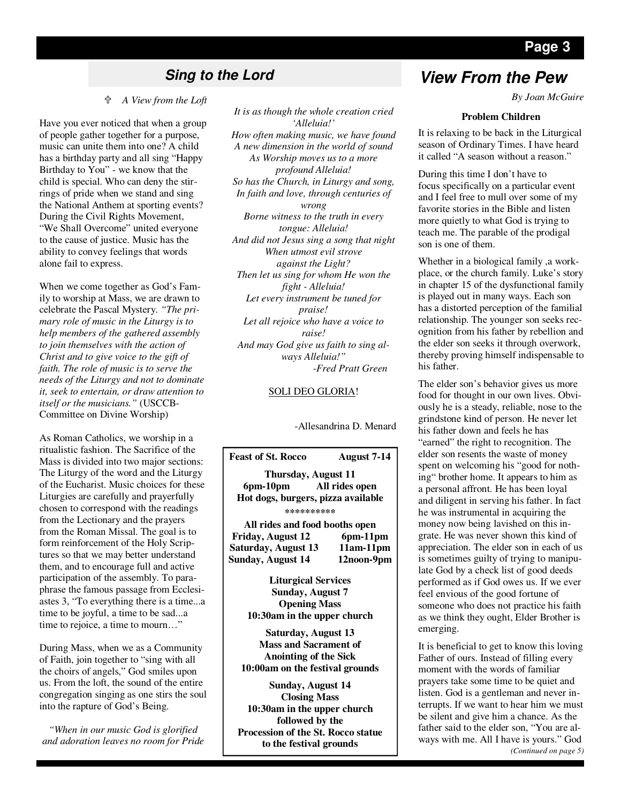### *A View from the Loft*

Have you ever noticed that when a group of people gather together for a purpose, music can unite them into one? A child has a birthday party and all sing "Happy Birthday to You" - we know that the child is special. Who can deny the stirrings of pride when we stand and sing the National Anthem at sporting events? During the Civil Rights Movement, "We Shall Overcome" united everyone to the cause of justice. Music has the ability to convey feelings that words alone fail to express.

When we come together as God's Family to worship at Mass, we are drawn to celebrate the Pascal Mystery. *"The primary role of music in the Liturgy is to help members of the gathered assembly to join themselves with the action of Christ and to give voice to the gift of faith. The role of music is to serve the needs of the Liturgy and not to dominate it, seek to entertain, or draw attention to itself or the musicians."* (USCCB-Committee on Divine Worship)

As Roman Catholics, we worship in a ritualistic fashion. The Sacrifice of the Mass is divided into two major sections: The Liturgy of the word and the Liturgy of the Eucharist. Music choices for these Liturgies are carefully and prayerfully chosen to correspond with the readings from the Lectionary and the prayers from the Roman Missal. The goal is to form reinforcement of the Holy Scriptures so that we may better understand them, and to encourage full and active participation of the assembly. To paraphrase the famous passage from Ecclesiastes 3, "To everything there is a time...a time to be joyful, a time to be sad...a time to rejoice, a time to mourn…"

During Mass, when we as a Community of Faith, join together to "sing with all the choirs of angels," God smiles upon us. From the loft, the sound of the entire congregation singing as one stirs the soul into the rapture of God's Being.

*"When in our music God is glorified and adoration leaves no room for Pride* 

*It is as though the whole creation cried 'Alleluia!' How often making music, we have found A new dimension in the world of sound As Worship moves us to a more profound Alleluia! So has the Church, in Liturgy and song, In faith and love, through centuries of wrong Borne witness to the truth in every tongue: Alleluia! And did not Jesus sing a song that night When utmost evil strove against the Light? Then let us sing for whom He won the fight - Alleluia! Let every instrument be tuned for praise! Let all rejoice who have a voice to raise! And may God give us faith to sing always Alleluia!"* 

 *-Fred Pratt Green* 

#### SOLI DEO GLORIA!

-Allesandrina D. Menard



**Opening Mass 10:30am in the upper church** 

**Saturday, August 13 Mass and Sacrament of Anointing of the Sick 10:00am on the festival grounds** 

**Sunday, August 14 Closing Mass 10:30am in the upper church followed by the Procession of the St. Rocco statue to the festival grounds** 

## **Sing to the Lord View From the Pew**

*By Joan McGuire* 

#### **Problem Children**

It is relaxing to be back in the Liturgical season of Ordinary Times. I have heard it called "A season without a reason."

During this time I don't have to focus specifically on a particular event and I feel free to mull over some of my favorite stories in the Bible and listen more quietly to what God is trying to teach me. The parable of the prodigal son is one of them.

Whether in a biological family ,a workplace, or the church family. Luke's story in chapter 15 of the dysfunctional family is played out in many ways. Each son has a distorted perception of the familial relationship. The younger son seeks recognition from his father by rebellion and the elder son seeks it through overwork, thereby proving himself indispensable to his father.

The elder son's behavior gives us more food for thought in our own lives. Obviously he is a steady, reliable, nose to the grindstone kind of person. He never let his father down and feels he has "earned" the right to recognition. The elder son resents the waste of money spent on welcoming his "good for nothing" brother home. It appears to him as a personal affront. He has been loyal and diligent in serving his father. In fact he was instrumental in acquiring the money now being lavished on this ingrate. He was never shown this kind of appreciation. The elder son in each of us is sometimes guilty of trying to manipulate God by a check list of good deeds performed as if God owes us. If we ever feel envious of the good fortune of someone who does not practice his faith as we think they ought, Elder Brother is emerging.

It is beneficial to get to know this loving Father of ours. Instead of filling every moment with the words of familiar prayers take some time to be quiet and listen. God is a gentleman and never interrupts. If we want to hear him we must be silent and give him a chance. As the father said to the elder son, "You are always with me. All I have is yours." God *(Continued on page 5)* 

## **Page 3**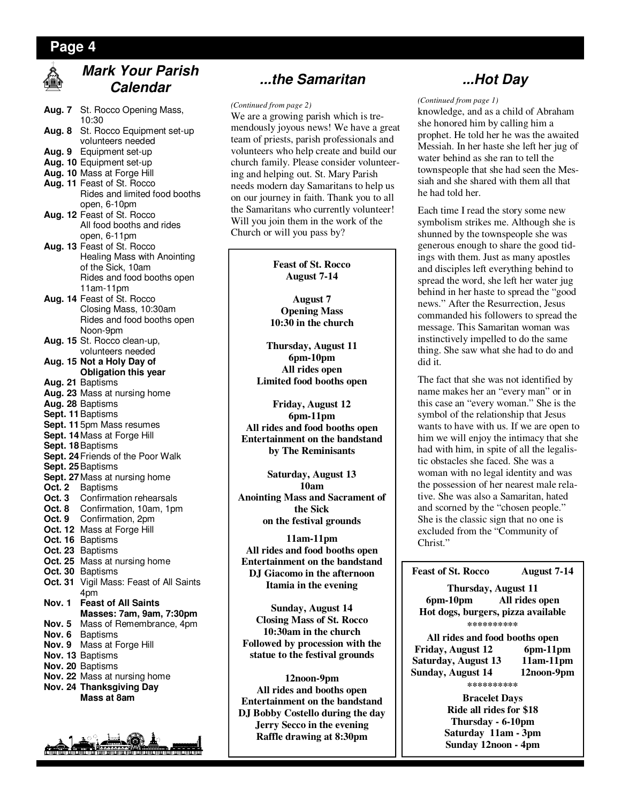## **Page 4**

## **Mark Your Parish Calendar**

**Aug. 7** St. Rocco Opening Mass, 10:30 **Aug. 8** St. Rocco Equipment set-up volunteers needed **Aug. 9** Equipment set-up **Aug. 10** Equipment set-up **Aug. 10** Mass at Forge Hill **Aug. 11** Feast of St. Rocco Rides and limited food booths open, 6-10pm **Aug. 12** Feast of St. Rocco All food booths and rides open, 6-11pm **Aug. 13** Feast of St. Rocco Healing Mass with Anointing of the Sick, 10am Rides and food booths open 11am-11pm **Aug. 14** Feast of St. Rocco Closing Mass, 10:30am Rides and food booths open Noon-9pm **Aug. 15** St. Rocco clean-up, volunteers needed **Aug. 15 Not a Holy Day of Obligation this year Aug. 21** Baptisms **Aug. 23** Mass at nursing home **Aug. 28** Baptisms **Sept. 11** Baptisms **Sept. 11** 5pm Mass resumes **Sept. 14** Mass at Forge Hill **Sept. 18** Baptisms **Sept. 24** Friends of the Poor Walk **Sept. 25** Baptisms **Sept. 27** Mass at nursing home **Oct. 2** Baptisms **Oct. 3** Confirmation rehearsals<br>**Oct. 8** Confirmation, 10am, 1pm **Oct. 8** Confirmation, 10am, 1pm **Oct. 9** Confirmation, 2pm **Oct. 12** Mass at Forge Hill **Oct. 16** Baptisms **Oct. 23** Baptisms **Oct. 25** Mass at nursing home **Oct. 30** Baptisms **Oct. 31** Vigil Mass: Feast of All Saints 4pm **Nov. 1 Feast of All Saints Masses: 7am, 9am, 7:30pm Nov. 5** Mass of Remembrance, 4pm **Nov. 6** Baptisms **Nov. 9** Mass at Forge Hill **Nov. 13** Baptisms **Nov. 20** Baptisms **Nov. 22** Mass at nursing home **Nov. 24 Thanksgiving Day Mass at 8am** 



## **...the Samaritan**

#### *(Continued from page 2)*

We are a growing parish which is tremendously joyous news! We have a great team of priests, parish professionals and volunteers who help create and build our church family. Please consider volunteering and helping out. St. Mary Parish needs modern day Samaritans to help us on our journey in faith. Thank you to all the Samaritans who currently volunteer! Will you join them in the work of the Church or will you pass by?

> **Feast of St. Rocco August 7-14**

**August 7 Opening Mass 10:30 in the church** 

**Thursday, August 11 6pm-10pm All rides open Limited food booths open** 

**Friday, August 12 6pm-11pm All rides and food booths open Entertainment on the bandstand by The Reminisants** 

**Saturday, August 13 10am Anointing Mass and Sacrament of the Sick on the festival grounds** 

**11am-11pm All rides and food booths open Entertainment on the bandstand DJ Giacomo in the afternoon Itamia in the evening** 

**Sunday, August 14 Closing Mass of St. Rocco 10:30am in the church Followed by procession with the statue to the festival grounds** 

**12noon-9pm All rides and booths open Entertainment on the bandstand DJ Bobby Costello during the day Jerry Secco in the evening Raffle drawing at 8:30pm**

## **...Hot Day**

#### *(Continued from page 1)*

knowledge, and as a child of Abraham she honored him by calling him a prophet. He told her he was the awaited Messiah. In her haste she left her jug of water behind as she ran to tell the townspeople that she had seen the Messiah and she shared with them all that he had told her.

Each time I read the story some new symbolism strikes me. Although she is shunned by the townspeople she was generous enough to share the good tidings with them. Just as many apostles and disciples left everything behind to spread the word, she left her water jug behind in her haste to spread the "good news." After the Resurrection, Jesus commanded his followers to spread the message. This Samaritan woman was instinctively impelled to do the same thing. She saw what she had to do and did it.

The fact that she was not identified by name makes her an "every man" or in this case an "every woman." She is the symbol of the relationship that Jesus wants to have with us. If we are open to him we will enjoy the intimacy that she had with him, in spite of all the legalistic obstacles she faced. She was a woman with no legal identity and was the possession of her nearest male relative. She was also a Samaritan, hated and scorned by the "chosen people." She is the classic sign that no one is excluded from the "Community of Christ."

#### **Feast of St. Rocco August 7-14**

**Thursday, August 11 6pm-10pm All rides open Hot dogs, burgers, pizza available \*\*\*\*\*\*\*\*\*\*** 

**All rides and food booths open Friday, August 12 Saturday, August 13 11am-11pm Sunday, August 14 12noon-9pm \*\*\*\*\*\*\*\*\*\*** 

> **Bracelet Days Ride all rides for \$18 Thursday - 6-10pm Saturday 11am - 3pm Sunday 12noon - 4pm**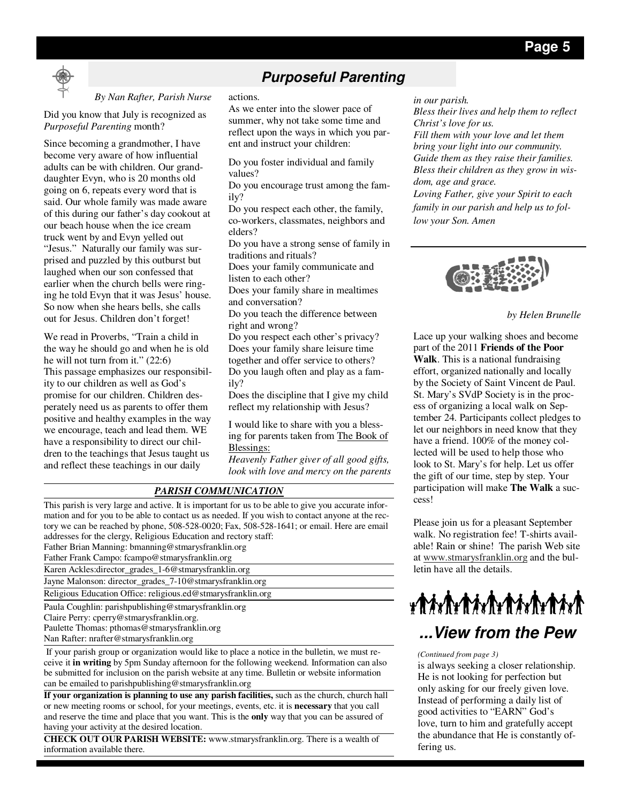

## **Purposeful Parenting**

#### *By Nan Rafter, Parish Nurse*

Did you know that July is recognized as *Purposeful Parenting* month?

Since becoming a grandmother, I have become very aware of how influential adults can be with children. Our granddaughter Evyn, who is 20 months old going on 6, repeats every word that is said. Our whole family was made aware of this during our father's day cookout at our beach house when the ice cream truck went by and Evyn yelled out "Jesus." Naturally our family was surprised and puzzled by this outburst but laughed when our son confessed that earlier when the church bells were ringing he told Evyn that it was Jesus' house. So now when she hears bells, she calls out for Jesus. Children don't forget!

We read in Proverbs, "Train a child in the way he should go and when he is old he will not turn from it." (22:6) This passage emphasizes our responsibility to our children as well as God's promise for our children. Children desperately need us as parents to offer them positive and healthy examples in the way we encourage, teach and lead them. WE have a responsibility to direct our children to the teachings that Jesus taught us and reflect these teachings in our daily

#### actions.

As we enter into the slower pace of summer, why not take some time and reflect upon the ways in which you parent and instruct your children:

Do you foster individual and family values?

Do you encourage trust among the family?

Do you respect each other, the family, co-workers, classmates, neighbors and elders?

Do you have a strong sense of family in traditions and rituals?

Does your family communicate and listen to each other?

Does your family share in mealtimes and conversation?

Do you teach the difference between right and wrong?

Do you respect each other's privacy? Does your family share leisure time together and offer service to others? Do you laugh often and play as a family?

Does the discipline that I give my child reflect my relationship with Jesus?

I would like to share with you a blessing for parents taken from The Book of Blessings:

*Heavenly Father giver of all good gifts, look with love and mercy on the parents* 

## *PARISH COMMUNICATION*

This parish is very large and active. It is important for us to be able to give you accurate information and for you to be able to contact us as needed. If you wish to contact anyone at the rectory we can be reached by phone, 508-528-0020; Fax, 508-528-1641; or email. Here are email addresses for the clergy, Religious Education and rectory staff:

Father Brian Manning: bmanning@stmarysfranklin.org Father Frank Campo: fcampo@stmarysfranklin.org

Karen Ackles:director\_grades\_1-6@stmarysfranklin.org

Jayne Malonson: director\_grades\_7-10@stmarysfranklin.org

Religious Education Office: religious.ed@stmarysfranklin.org

Paula Coughlin: parishpublishing@stmarysfranklin.org

Claire Perry: cperry@stmarysfranklin.org.

Paulette Thomas: pthomas@stmarysfranklin.org

Nan Rafter: nrafter@stmarysfranklin.org

 If your parish group or organization would like to place a notice in the bulletin, we must receive it **in writing** by 5pm Sunday afternoon for the following weekend. Information can also be submitted for inclusion on the parish website at any time. Bulletin or website information can be emailed to parishpublishing@stmarysfranklin.org

**If your organization is planning to use any parish facilities,** such as the church, church hall or new meeting rooms or school, for your meetings, events, etc. it is **necessary** that you call and reserve the time and place that you want. This is the **only** way that you can be assured of having your activity at the desired location.

**CHECK OUT OUR PARISH WEBSITE:** www.stmarysfranklin.org. There is a wealth of information available there.

*in our parish.* 

*Bless their lives and help them to reflect Christ's love for us.* 

*Fill them with your love and let them bring your light into our community. Guide them as they raise their families. Bless their children as they grow in wisdom, age and grace.* 

*Loving Father, give your Spirit to each family in our parish and help us to follow your Son. Amen* 



*by Helen Brunelle* 

Lace up your walking shoes and become part of the 2011 **Friends of the Poor Walk**. This is a national fundraising effort, organized nationally and locally by the Society of Saint Vincent de Paul. St. Mary's SVdP Society is in the process of organizing a local walk on September 24. Participants collect pledges to let our neighbors in need know that they have a friend. 100% of the money collected will be used to help those who look to St. Mary's for help. Let us offer the gift of our time, step by step. Your participation will make **The Walk** a success!

Please join us for a pleasant September walk. No registration fee! T-shirts available! Rain or shine! The parish Web site at www.stmarysfranklin.org and the bulletin have all the details.

# ${\color{blue}\textbf{#}}{\color{blue}\textbf{#}}{\color{blue}\textbf{#}}{\color{blue}\textbf{#}}{\color{blue}\textbf{#}}{\color{blue}\textbf{#}}{\color{blue}\textbf{#}}{\color{blue}\textbf{#}}{\color{blue}\textbf{#}}{\color{blue}\textbf{#}}{\color{blue}\textbf{#}}{\color{blue}\textbf{#}}{\color{blue}\textbf{#}}{\color{blue}\textbf{#}}{\color{blue}\textbf{#}}{\color{blue}\textbf{#}}{\color{blue}\textbf{#}}{\color{blue}\textbf{#}}{\color{blue}\textbf{#}}{\color{blue}\textbf{#}}{\color{blue}\textbf{#}}{\color{blue}\textbf{#}}$ **...View from the Pew**

*(Continued from page 3)* 

is always seeking a closer relationship. He is not looking for perfection but only asking for our freely given love. Instead of performing a daily list of good activities to "EARN" God's love, turn to him and gratefully accept the abundance that He is constantly offering us.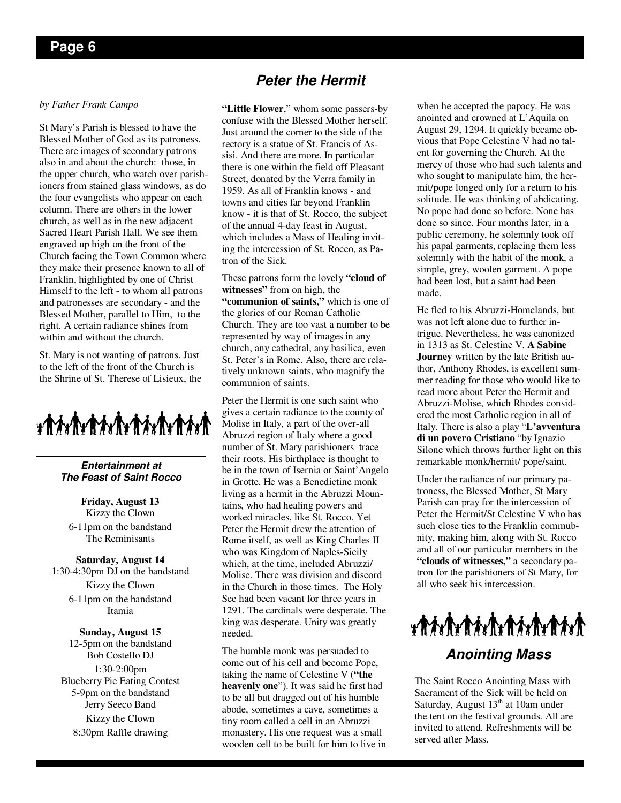#### *by Father Frank Campo*

St Mary's Parish is blessed to have the Blessed Mother of God as its patroness. There are images of secondary patrons also in and about the church: those, in the upper church, who watch over parishioners from stained glass windows, as do the four evangelists who appear on each column. There are others in the lower church, as well as in the new adjacent Sacred Heart Parish Hall. We see them engraved up high on the front of the Church facing the Town Common where they make their presence known to all of Franklin, highlighted by one of Christ Himself to the left - to whom all patrons and patronesses are secondary - and the Blessed Mother, parallel to Him, to the right. A certain radiance shines from within and without the church.

St. Mary is not wanting of patrons. Just to the left of the front of the Church is the Shrine of St. Therese of Lisieux, the

**Entertainment at The Feast of Saint Rocco** 

**Friday, August 13**  Kizzy the Clown 6-11pm on the bandstand The Reminisants

#### **Saturday, August 14**

1:30-4:30pm DJ on the bandstand Kizzy the Clown 6-11pm on the bandstand Itamia

#### **Sunday, August 15**

12-5pm on the bandstand Bob Costello DJ 1:30-2:00pm Blueberry Pie Eating Contest 5-9pm on the bandstand Jerry Seeco Band Kizzy the Clown 8:30pm Raffle drawing

## **Peter the Hermit**

**"Little Flower**," whom some passers-by confuse with the Blessed Mother herself. Just around the corner to the side of the rectory is a statue of St. Francis of Assisi. And there are more. In particular there is one within the field off Pleasant Street, donated by the Verra family in 1959. As all of Franklin knows - and towns and cities far beyond Franklin know - it is that of St. Rocco, the subject of the annual 4-day feast in August, which includes a Mass of Healing inviting the intercession of St. Rocco, as Patron of the Sick.

These patrons form the lovely **"cloud of witnesses"** from on high, the **"communion of saints,"** which is one of the glories of our Roman Catholic Church. They are too vast a number to be represented by way of images in any church, any cathedral, any basilica, even St. Peter's in Rome. Also, there are relatively unknown saints, who magnify the communion of saints.

Peter the Hermit is one such saint who gives a certain radiance to the county of Molise in Italy, a part of the over-all Abruzzi region of Italy where a good number of St. Mary parishioners trace their roots. His birthplace is thought to be in the town of Isernia or Saint'Angelo in Grotte. He was a Benedictine monk living as a hermit in the Abruzzi Mountains, who had healing powers and worked miracles, like St. Rocco. Yet Peter the Hermit drew the attention of Rome itself, as well as King Charles II who was Kingdom of Naples-Sicily which, at the time, included Abruzzi/ Molise. There was division and discord in the Church in those times. The Holy See had been vacant for three years in 1291. The cardinals were desperate. The king was desperate. Unity was greatly needed.

The humble monk was persuaded to come out of his cell and become Pope, taking the name of Celestine V (**"the heavenly one**"). It was said he first had to be all but dragged out of his humble abode, sometimes a cave, sometimes a tiny room called a cell in an Abruzzi monastery. His one request was a small wooden cell to be built for him to live in when he accepted the papacy. He was anointed and crowned at L'Aquila on August 29, 1294. It quickly became obvious that Pope Celestine V had no talent for governing the Church. At the mercy of those who had such talents and who sought to manipulate him, the hermit/pope longed only for a return to his solitude. He was thinking of abdicating. No pope had done so before. None has done so since. Four months later, in a public ceremony, he solemnly took off his papal garments, replacing them less solemnly with the habit of the monk, a simple, grey, woolen garment. A pope had been lost, but a saint had been made.

He fled to his Abruzzi-Homelands, but was not left alone due to further intrigue. Nevertheless, he was canonized in 1313 as St. Celestine V. **A Sabine Journey** written by the late British author, Anthony Rhodes, is excellent summer reading for those who would like to read more about Peter the Hermit and Abruzzi-Molise, which Rhodes considered the most Catholic region in all of Italy. There is also a play "**L'avventura di un povero Cristiano** "by Ignazio Silone which throws further light on this remarkable monk/hermit/ pope/saint.

Under the radiance of our primary patroness, the Blessed Mother, St Mary Parish can pray for the intercession of Peter the Hermit/St Celestine V who has such close ties to the Franklin commubnity, making him, along with St. Rocco and all of our particular members in the **"clouds of witnesses,"** a secondary patron for the parishioners of St Mary, for all who seek his intercession.

 ${\color{blue}\textbf{#}}{\color{blue}\textbf{#}}{\color{blue}\textbf{#}}{\color{blue}\textbf{#}}{\color{blue}\textbf{#}}{\color{blue}\textbf{#}}{\color{blue}\textbf{#}}{\color{blue}\textbf{#}}{\color{blue}\textbf{#}}{\color{blue}\textbf{#}}{\color{blue}\textbf{#}}{\color{blue}\textbf{#}}{\color{blue}\textbf{#}}{\color{blue}\textbf{#}}{\color{blue}\textbf{#}}{\color{blue}\textbf{#}}{\color{blue}\textbf{#}}{\color{blue}\textbf{#}}{\color{blue}\textbf{#}}{\color{blue}\textbf{#}}{\color{blue}\textbf{#}}{\color{blue}\textbf{#}}$ **Anointing Mass** 

The Saint Rocco Anointing Mass with Sacrament of the Sick will be held on Saturday, August  $13<sup>th</sup>$  at 10am under the tent on the festival grounds. All are invited to attend. Refreshments will be served after Mass.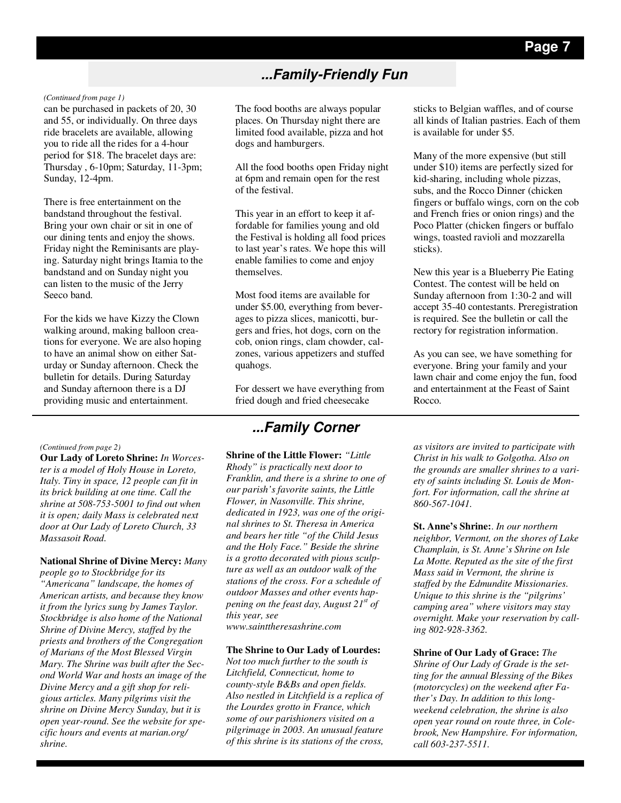## **...Family-Friendly Fun**

#### *(Continued from page 1)*

can be purchased in packets of 20, 30 and 55, or individually. On three days ride bracelets are available, allowing you to ride all the rides for a 4-hour period for \$18. The bracelet days are: Thursday , 6-10pm; Saturday, 11-3pm; Sunday, 12-4pm.

There is free entertainment on the bandstand throughout the festival. Bring your own chair or sit in one of our dining tents and enjoy the shows. Friday night the Reminisants are playing. Saturday night brings Itamia to the bandstand and on Sunday night you can listen to the music of the Jerry Seeco band.

For the kids we have Kizzy the Clown walking around, making balloon creations for everyone. We are also hoping to have an animal show on either Saturday or Sunday afternoon. Check the bulletin for details. During Saturday and Sunday afternoon there is a DJ providing music and entertainment.

#### *(Continued from page 2)*

**Our Lady of Loreto Shrine:** *In Worcester is a model of Holy House in Loreto, Italy. Tiny in space, 12 people can fit in its brick building at one time. Call the shrine at 508-753-5001 to find out when it is open; daily Mass is celebrated next door at Our Lady of Loreto Church, 33 Massasoit Road.* 

#### **National Shrine of Divine Mercy:** *Many*

*people go to Stockbridge for its "Americana" landscape, the homes of American artists, and because they know it from the lyrics sung by James Taylor. Stockbridge is also home of the National Shrine of Divine Mercy, staffed by the priests and brothers of the Congregation of Marians of the Most Blessed Virgin Mary. The Shrine was built after the Second World War and hosts an image of the Divine Mercy and a gift shop for religious articles. Many pilgrims visit the shrine on Divine Mercy Sunday, but it is open year-round. See the website for specific hours and events at marian.org/ shrine.* 

The food booths are always popular places. On Thursday night there are limited food available, pizza and hot dogs and hamburgers.

All the food booths open Friday night at 6pm and remain open for the rest of the festival.

This year in an effort to keep it affordable for families young and old the Festival is holding all food prices to last year's rates. We hope this will enable families to come and enjoy themselves.

Most food items are available for under \$5.00, everything from beverages to pizza slices, manicotti, burgers and fries, hot dogs, corn on the cob, onion rings, clam chowder, calzones, various appetizers and stuffed quahogs.

For dessert we have everything from fried dough and fried cheesecake

## **...Family Corner**

**Shrine of the Little Flower:** *"Little Rhody" is practically next door to Franklin, and there is a shrine to one of our parish's favorite saints, the Little Flower, in Nasonville. This shrine, dedicated in 1923, was one of the original shrines to St. Theresa in America and bears her title "of the Child Jesus and the Holy Face." Beside the shrine is a grotto decorated with pious sculpture as well as an outdoor walk of the stations of the cross. For a schedule of outdoor Masses and other events happening on the feast day, August 21st of this year, see www.sainttheresashrine.com* 

**The Shrine to Our Lady of Lourdes:**  *Not too much further to the south is Litchfield, Connecticut, home to county-style B&Bs and open fields. Also nestled in Litchfield is a replica of the Lourdes grotto in France, which some of our parishioners visited on a pilgrimage in 2003. An unusual feature of this shrine is its stations of the cross,* 

sticks to Belgian waffles, and of course all kinds of Italian pastries. Each of them is available for under \$5.

Many of the more expensive (but still under \$10) items are perfectly sized for kid-sharing, including whole pizzas, subs, and the Rocco Dinner (chicken fingers or buffalo wings, corn on the cob and French fries or onion rings) and the Poco Platter (chicken fingers or buffalo wings, toasted ravioli and mozzarella sticks).

New this year is a Blueberry Pie Eating Contest. The contest will be held on Sunday afternoon from 1:30-2 and will accept 35-40 contestants. Preregistration is required. See the bulletin or call the rectory for registration information.

As you can see, we have something for everyone. Bring your family and your lawn chair and come enjoy the fun, food and entertainment at the Feast of Saint Rocco.

*as visitors are invited to participate with Christ in his walk to Golgotha. Also on the grounds are smaller shrines to a variety of saints including St. Louis de Monfort. For information, call the shrine at 860-567-1041.* 

**St. Anne's Shrine:**. *In our northern neighbor, Vermont, on the shores of Lake Champlain, is St. Anne's Shrine on Isle La Motte. Reputed as the site of the first Mass said in Vermont, the shrine is staffed by the Edmundite Missionaries. Unique to this shrine is the "pilgrims' camping area" where visitors may stay overnight. Make your reservation by calling 802-928-3362.* 

**Shrine of Our Lady of Grace:** *The Shrine of Our Lady of Grade is the setting for the annual Blessing of the Bikes (motorcycles) on the weekend after Father's Day. In addition to this longweekend celebration, the shrine is also open year round on route three, in Colebrook, New Hampshire. For information, call 603-237-5511.*